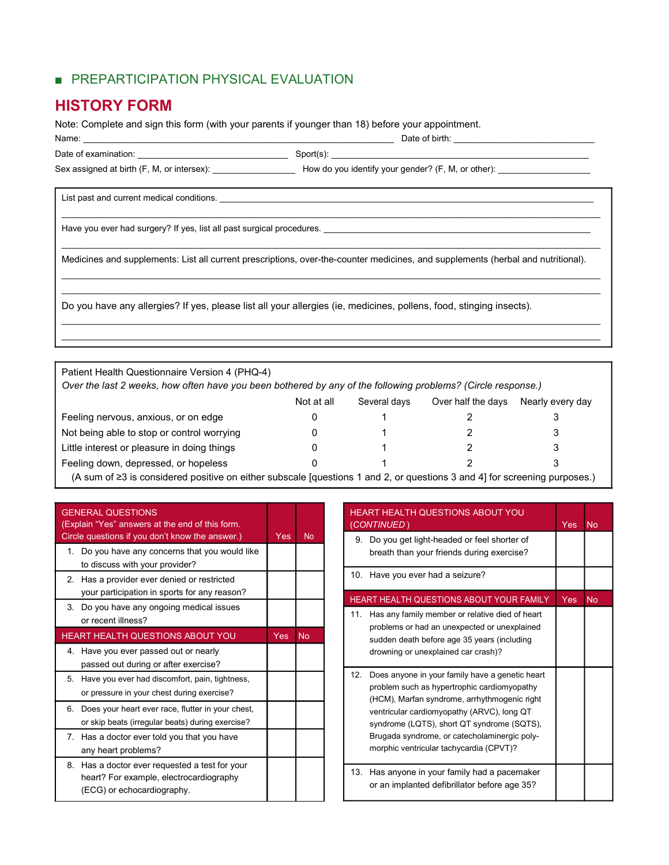## ■ PREPARTICIPATION PHYSICAL EVALUATION

## HISTORY FORM

Note: Complete and sign this form (with your parents if younger than 18) before your appointment.

| Name:                |         | Date of birth: |
|----------------------|---------|----------------|
| Date of examination: | ັບ<br>. |                |

Date of examination: \_\_\_\_\_\_\_\_\_\_\_\_\_\_\_\_\_\_\_\_\_\_\_\_\_\_\_\_\_\_\_ Sport(s): \_\_\_\_\_\_\_\_\_\_\_\_\_\_\_\_\_\_\_\_\_\_\_\_\_\_\_\_\_\_\_\_\_\_\_\_\_\_\_\_\_\_\_\_\_\_\_\_\_\_\_\_\_

Sex assigned at birth (F, M, or intersex): <br>
How do you identify your gender? (F, M, or other):

List past and current medical conditions. \_\_\_\_\_\_\_\_\_\_\_\_\_\_\_\_\_\_\_\_\_\_\_\_\_\_\_\_\_\_\_\_\_\_\_\_\_\_\_\_\_\_\_\_\_\_\_\_\_\_\_\_\_\_\_\_\_\_\_\_\_\_\_\_\_\_\_\_\_\_\_\_\_\_\_\_\_

Have you ever had surgery? If yes, list all past surgical procedures. \_\_\_\_\_\_\_\_\_\_\_\_\_\_\_\_\_

Medicines and supplements: List all current prescriptions, over-the-counter medicines, and supplements (herbal and nutritional).

 $\_$  , and the state of the state of the state of the state of the state of the state of the state of the state of the state of the state of the state of the state of the state of the state of the state of the state of the

 $\_$  , and the state of the state of the state of the state of the state of the state of the state of the state of the state of the state of the state of the state of the state of the state of the state of the state of the

 $\mathcal{L}_\text{max} = \mathcal{L}_\text{max} = \mathcal{L}_\text{max} = \mathcal{L}_\text{max} = \mathcal{L}_\text{max} = \mathcal{L}_\text{max} = \mathcal{L}_\text{max} = \mathcal{L}_\text{max} = \mathcal{L}_\text{max} = \mathcal{L}_\text{max} = \mathcal{L}_\text{max} = \mathcal{L}_\text{max} = \mathcal{L}_\text{max} = \mathcal{L}_\text{max} = \mathcal{L}_\text{max} = \mathcal{L}_\text{max} = \mathcal{L}_\text{max} = \mathcal{L}_\text{max} = \mathcal{$  $\_$  , and the state of the state of the state of the state of the state of the state of the state of the state of the state of the state of the state of the state of the state of the state of the state of the state of the

 $\mathcal{L}_\text{max} = \mathcal{L}_\text{max} = \mathcal{L}_\text{max} = \mathcal{L}_\text{max} = \mathcal{L}_\text{max} = \mathcal{L}_\text{max} = \mathcal{L}_\text{max} = \mathcal{L}_\text{max} = \mathcal{L}_\text{max} = \mathcal{L}_\text{max} = \mathcal{L}_\text{max} = \mathcal{L}_\text{max} = \mathcal{L}_\text{max} = \mathcal{L}_\text{max} = \mathcal{L}_\text{max} = \mathcal{L}_\text{max} = \mathcal{L}_\text{max} = \mathcal{L}_\text{max} = \mathcal{$  $\_$  , and the state of the state of the state of the state of the state of the state of the state of the state of the state of the state of the state of the state of the state of the state of the state of the state of the

Do you have any allergies? If yes, please list all your allergies (ie, medicines, pollens, food, stinging insects).

| Patient Health Questionnaire Version 4 (PHQ-4)<br>Over the last 2 weeks, how often have you been bothered by any of the following problems? (Circle response.)                                                                    |            |              |                    |                  |
|-----------------------------------------------------------------------------------------------------------------------------------------------------------------------------------------------------------------------------------|------------|--------------|--------------------|------------------|
|                                                                                                                                                                                                                                   | Not at all | Several davs | Over half the days | Nearly every day |
| Feeling nervous, anxious, or on edge                                                                                                                                                                                              |            |              |                    |                  |
| Not being able to stop or control worrying                                                                                                                                                                                        |            |              |                    |                  |
| Little interest or pleasure in doing things                                                                                                                                                                                       |            |              |                    |                  |
| Feeling down, depressed, or hopeless                                                                                                                                                                                              |            |              |                    |                  |
| $\mathcal{M}$ and the contract of the contract of the contract of the contract of the contract of the contract of the contract of the contract of the contract of the contract of the contract of the contract of the contract of |            |              |                    |                  |

(A sum of ≥3 is considered positive on either subscale [questions 1 and 2, or questions 3 and 4] for screening purposes.)

| <b>GENERAL QUESTIONS</b> |  |
|--------------------------|--|

Г

| (Explain "Yes" answers at the end of this form.                                                                         |            |                |
|-------------------------------------------------------------------------------------------------------------------------|------------|----------------|
| Circle questions if you don't know the answer.)                                                                         | <b>Yes</b> | N <sub>o</sub> |
| 1. Do you have any concerns that you would like<br>to discuss with your provider?                                       |            |                |
| 2. Has a provider ever denied or restricted<br>your participation in sports for any reason?                             |            |                |
| 3. Do you have any ongoing medical issues<br>or recent illness?                                                         |            |                |
| HEART HEALTH QUESTIONS ABOUT YOU                                                                                        | <b>Yes</b> | <b>No</b>      |
| 4. Have you ever passed out or nearly<br>passed out during or after exercise?                                           |            |                |
| 5. Have you ever had discomfort, pain, tightness,<br>or pressure in your chest during exercise?                         |            |                |
| 6. Does your heart ever race, flutter in your chest,<br>or skip beats (irregular beats) during exercise?                |            |                |
| 7. Has a doctor ever told you that you have<br>any heart problems?                                                      |            |                |
| 8. Has a doctor ever requested a test for your<br>heart? For example, electrocardiography<br>(ECG) or echocardiography. |            |                |

| <b>HEART HEALTH QUESTIONS ABOUT YOU</b><br>(CONTINUED)                                                                                                                                                                                                                                                                                       | <b>Yes</b> | <b>No</b> |
|----------------------------------------------------------------------------------------------------------------------------------------------------------------------------------------------------------------------------------------------------------------------------------------------------------------------------------------------|------------|-----------|
| 9. Do you get light-headed or feel shorter of<br>breath than your friends during exercise?                                                                                                                                                                                                                                                   |            |           |
| 10. Have you ever had a seizure?                                                                                                                                                                                                                                                                                                             |            |           |
| <b>HEART HEALTH QUESTIONS ABOUT YOUR FAMILY</b>                                                                                                                                                                                                                                                                                              | <b>Yes</b> | <b>No</b> |
| 11. Has any family member or relative died of heart<br>problems or had an unexpected or unexplained<br>sudden death before age 35 years (including<br>drowning or unexplained car crash)?                                                                                                                                                    |            |           |
| 12.<br>Does anyone in your family have a genetic heart<br>problem such as hypertrophic cardiomyopathy<br>(HCM), Marfan syndrome, arrhythmogenic right<br>ventricular cardiomyopathy (ARVC), long QT<br>syndrome (LQTS), short QT syndrome (SQTS),<br>Brugada syndrome, or catecholaminergic poly-<br>morphic ventricular tachycardia (CPVT)? |            |           |
| 13. Has anyone in your family had a pacemaker<br>or an implanted defibrillator before age 35?                                                                                                                                                                                                                                                |            |           |